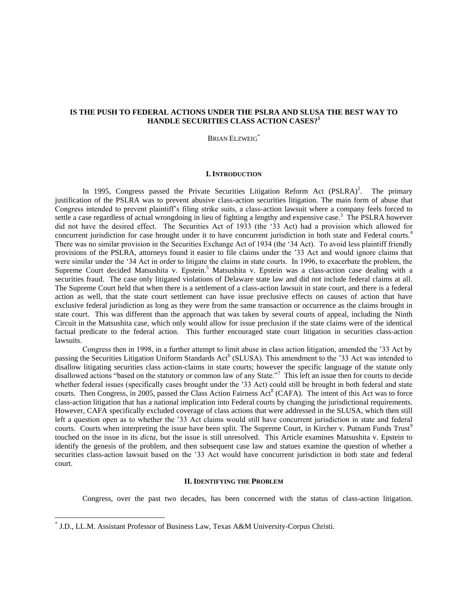# **IS THE PUSH TO FEDERAL ACTIONS UNDER THE PSLRA AND SLUSA THE BEST WAY TO HANDLE SECURITIES CLASS ACTION CASES?<sup>1</sup>**

BRIAN ELZWEIG\*

### **I. INTRODUCTION**

In 1995, Congress passed the Private Securities Litigation Reform Act  $(PSLRA)^2$ . The primary justification of the PSLRA was to prevent abusive class-action securities litigation. The main form of abuse that Congress intended to prevent plaintiff"s filing strike suits, a class-action lawsuit where a company feels forced to settle a case regardless of actual wrongdoing in lieu of fighting a lengthy and expensive case.<sup>3</sup> The PSLRA however did not have the desired effect. The Securities Act of 1933 (the "33 Act) had a provision which allowed for concurrent jurisdiction for case brought under it to have concurrent jurisdiction in both state and Federal courts.<sup>4</sup> There was no similar provision in the Securities Exchange Act of 1934 (the "34 Act). To avoid less plaintiff friendly provisions of the PSLRA, attorneys found it easier to file claims under the "33 Act and would ignore claims that were similar under the "34 Act in order to litigate the claims in state courts. In 1996, to exacerbate the problem, the Supreme Court decided Matsushita v. Epstein.<sup>5</sup> Matsushita v. Epstein was a class-action case dealing with a securities fraud. The case only litigated violations of Delaware state law and did not include federal claims at all. The Supreme Court held that when there is a settlement of a class-action lawsuit in state court, and there is a federal action as well, that the state court settlement can have issue preclusive effects on causes of action that have exclusive federal jurisdiction as long as they were from the same transaction or occurrence as the claims brought in state court. This was different than the approach that was taken by several courts of appeal, including the Ninth Circuit in the Matsushita case, which only would allow for issue preclusion if the state claims were of the identical factual predicate to the federal action. This further encouraged state court litigation in securities class-action lawsuits.

Congress then in 1998, in a further attempt to limit abuse in class action litigation, amended the "33 Act by passing the Securities Litigation Uniform Standards Act<sup>6</sup> (SLUSA). This amendment to the '33 Act was intended to disallow litigating securities class action-claims in state courts; however the specific language of the statute only disallowed actions "based on the statutory or common law of any State."<sup>7</sup> This left an issue then for courts to decide whether federal issues (specifically cases brought under the '33 Act) could still be brought in both federal and state courts. Then Congress, in 2005, passed the Class Action Fairness Act<sup>8</sup> (CAFA). The intent of this Act was to force class-action litigation that has a national implication into Federal courts by changing the jurisdictional requirements. However, CAFA specifically excluded coverage of class actions that were addressed in the SLUSA, which then still left a question open as to whether the "33 Act claims would still have concurrent jurisdiction in state and federal courts. Courts when interpreting the issue have been split. The Supreme Court, in Kircher v. Putnam Funds Trust<sup>9</sup> touched on the issue in its *dicta,* but the issue is still unresolved. This Article examines Matsushita v. Epstein to identify the genesis of the problem, and then subsequent case law and statues examine the question of whether a securities class-action lawsuit based on the "33 Act would have concurrent jurisdiction in both state and federal court.

### **II. IDENTIFYING THE PROBLEM**

Congress, over the past two decades, has been concerned with the status of class-action litigation.

 $\overline{a}$ 

<sup>\*</sup> J.D., LL.M. Assistant Professor of Business Law, Texas A&M University-Corpus Christi.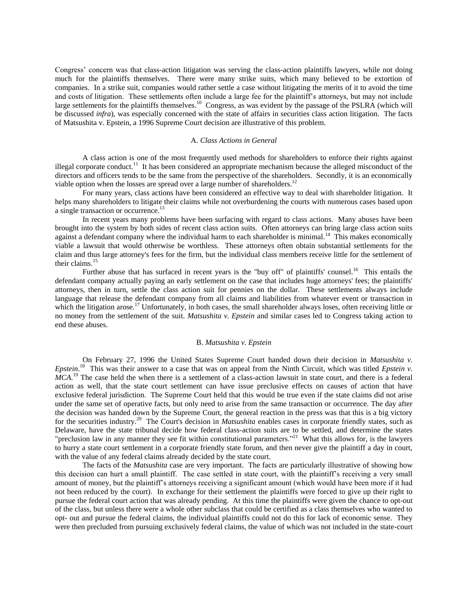Congress" concern was that class-action litigation was serving the class-action plaintiffs lawyers, while not doing much for the plaintiffs themselves. There were many strike suits, which many believed to be extortion of companies. In a strike suit, companies would rather settle a case without litigating the merits of it to avoid the time and costs of litigation. These settlements often include a large fee for the plaintiff"s attorneys, but may not include large settlements for the plaintiffs themselves.<sup>10</sup> Congress, as was evident by the passage of the PSLRA (which will be discussed *infra*), was especially concerned with the state of affairs in securities class action litigation. The facts of Matsushita v. Epstein, a 1996 Supreme Court decision are illustrative of this problem.

### A. *Class Actions in General*

A class action is one of the most frequently used methods for shareholders to enforce their rights against illegal corporate conduct.<sup>11</sup> It has been considered an appropriate mechanism because the alleged misconduct of the directors and officers tends to be the same from the perspective of the shareholders. Secondly, it is an economically viable option when the losses are spread over a large number of shareholders.<sup>12</sup>

For many years, class actions have been considered an effective way to deal with shareholder litigation. It helps many shareholders to litigate their claims while not overburdening the courts with numerous cases based upon a single transaction or occurrence.<sup>13</sup>

In recent years many problems have been surfacing with regard to class actions. Many abuses have been brought into the system by both sides of recent class action suits. Often attorneys can bring large class action suits against a defendant company where the individual harm to each shareholder is minimal.<sup>14</sup> This makes economically viable a lawsuit that would otherwise be worthless. These attorneys often obtain substantial settlements for the claim and thus large attorney's fees for the firm, but the individual class members receive little for the settlement of their claims.<sup>15</sup>

Further abuse that has surfaced in recent years is the "buy off" of plaintiffs' counsel.<sup>16</sup> This entails the defendant company actually paying an early settlement on the case that includes huge attorneys' fees; the plaintiffs' attorneys, then in turn, settle the class action suit for pennies on the dollar. These settlements always include language that release the defendant company from all claims and liabilities from whatever event or transaction in which the litigation arose.<sup>17</sup> Unfortunately, in both cases, the small shareholder always loses, often receiving little or no money from the settlement of the suit. *Matsushita v. Epstein* and similar cases led to Congress taking action to end these abuses.

### B. *Matsushita v. Epstein*

On February 27, 1996 the United States Supreme Court handed down their decision in *Matsushita v. Epstein*. 18 This was their answer to a case that was on appeal from the Ninth Circuit, which was titled *Epstein v.*   $MCA$ <sup>19</sup>. The case held the when there is a settlement of a class-action lawsuit in state court, and there is a federal action as well, that the state court settlement can have issue preclusive effects on causes of action that have exclusive federal jurisdiction. The Supreme Court held that this would be true even if the state claims did not arise under the same set of operative facts, but only need to arise from the same transaction or occurrence. The day after the decision was handed down by the Supreme Court, the general reaction in the press was that this is a big victory for the securities industry.<sup>20</sup> The Court's decision in *Matsushita* enables cases in corporate friendly states, such as Delaware, have the state tribunal decide how federal class-action suits are to be settled, and determine the states "preclusion law in any manner they see fit within constitutional parameters."<sup>21</sup> What this allows for, is the lawyers to hurry a state court settlement in a corporate friendly state forum, and then never give the plaintiff a day in court, with the value of any federal claims already decided by the state court.

The facts of the *Matsushita* case are very important. The facts are particularly illustrative of showing how this decision can hurt a small plaintiff. The case settled in state court, with the plaintiff"s receiving a very small amount of money, but the plaintiff"s attorneys receiving a significant amount (which would have been more if it had not been reduced by the court). In exchange for their settlement the plaintiffs were forced to give up their right to pursue the federal court action that was already pending. At this time the plaintiffs were given the chance to opt-out of the class, but unless there were a whole other subclass that could be certified as a class themselves who wanted to opt- out and pursue the federal claims, the individual plaintiffs could not do this for lack of economic sense. They were then precluded from pursuing exclusively federal claims, the value of which was not included in the state-court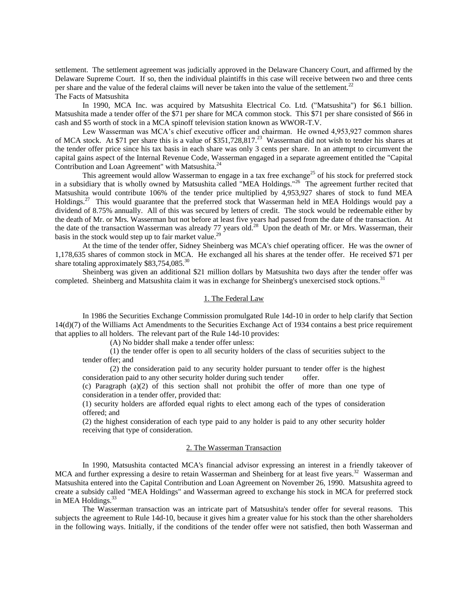settlement. The settlement agreement was judicially approved in the Delaware Chancery Court, and affirmed by the Delaware Supreme Court. If so, then the individual plaintiffs in this case will receive between two and three cents per share and the value of the federal claims will never be taken into the value of the settlement.<sup>22</sup> The Facts of Matsushita

In 1990, MCA Inc. was acquired by Matsushita Electrical Co. Ltd. ("Matsushita") for \$6.1 billion. Matsushita made a tender offer of the \$71 per share for MCA common stock. This \$71 per share consisted of \$66 in cash and \$5 worth of stock in a MCA spinoff television station known as WWOR-T.V.

Lew Wasserman was MCA"s chief executive officer and chairman. He owned 4,953,927 common shares of MCA stock. At \$71 per share this is a value of  $$351,728,817<sup>23</sup>$  Wasserman did not wish to tender his shares at the tender offer price since his tax basis in each share was only 3 cents per share. In an attempt to circumvent the capital gains aspect of the Internal Revenue Code, Wasserman engaged in a separate agreement entitled the "Capital Contribution and Loan Agreement" with Matsushita.<sup>24</sup>

This agreement would allow Wasserman to engage in a tax free exchange<sup>25</sup> of his stock for preferred stock in a subsidiary that is wholly owned by Matsushita called "MEA Holdings."<sup>26</sup> The agreement further recited that Matsushita would contribute 106% of the tender price multiplied by 4,953,927 shares of stock to fund MEA Holdings.<sup>27</sup> This would guarantee that the preferred stock that Wasserman held in MEA Holdings would pay a dividend of 8.75% annually. All of this was secured by letters of credit. The stock would be redeemable either by the death of Mr. or Mrs. Wasserman but not before at least five years had passed from the date of the transaction. At the date of the transaction Wasserman was already 77 years old.<sup>28</sup> Upon the death of Mr. or Mrs. Wasserman, their basis in the stock would step up to fair market value.<sup>29</sup>

At the time of the tender offer, Sidney Sheinberg was MCA's chief operating officer. He was the owner of 1,178,635 shares of common stock in MCA. He exchanged all his shares at the tender offer. He received \$71 per share totaling approximately \$83,754,085.<sup>30</sup>

Sheinberg was given an additional \$21 million dollars by Matsushita two days after the tender offer was completed. Sheinberg and Matsushita claim it was in exchange for Sheinberg's unexercised stock options.<sup>31</sup>

## 1. The Federal Law

In 1986 the Securities Exchange Commission promulgated Rule 14d-10 in order to help clarify that Section 14(d)(7) of the Williams Act Amendments to the Securities Exchange Act of 1934 contains a best price requirement that applies to all holders. The relevant part of the Rule 14d-10 provides:

(A) No bidder shall make a tender offer unless:

(1) the tender offer is open to all security holders of the class of securities subject to the tender offer; and

(2) the consideration paid to any security holder pursuant to tender offer is the highest consideration paid to any other security holder during such tender offer.

(c) Paragraph (a)(2) of this section shall not prohibit the offer of more than one type of consideration in a tender offer, provided that:

(1) security holders are afforded equal rights to elect among each of the types of consideration offered; and

(2) the highest consideration of each type paid to any holder is paid to any other security holder receiving that type of consideration.

## 2. The Wasserman Transaction

In 1990, Matsushita contacted MCA's financial advisor expressing an interest in a friendly takeover of MCA and further expressing a desire to retain Wasserman and Sheinberg for at least five years.<sup>32</sup> Wasserman and Matsushita entered into the Capital Contribution and Loan Agreement on November 26, 1990. Matsushita agreed to create a subsidy called "MEA Holdings" and Wasserman agreed to exchange his stock in MCA for preferred stock in MEA Holdings.<sup>33</sup>

The Wasserman transaction was an intricate part of Matsushita's tender offer for several reasons. This subjects the agreement to Rule 14d-10, because it gives him a greater value for his stock than the other shareholders in the following ways. Initially, if the conditions of the tender offer were not satisfied, then both Wasserman and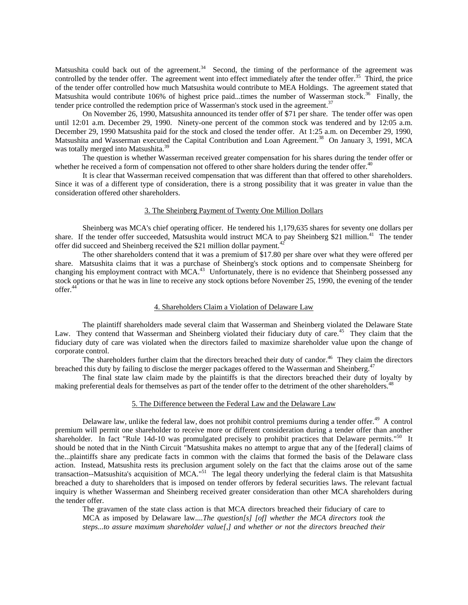Matsushita could back out of the agreement.<sup>34</sup> Second, the timing of the performance of the agreement was controlled by the tender offer. The agreement went into effect immediately after the tender offer.<sup>35</sup> Third, the price of the tender offer controlled how much Matsushita would contribute to MEA Holdings. The agreement stated that Matsushita would contribute 106% of highest price paid...times the number of Wasserman stock.<sup>36</sup> Finally, the tender price controlled the redemption price of Wasserman's stock used in the agreement.<sup>37</sup>

On November 26, 1990, Matsushita announced its tender offer of \$71 per share. The tender offer was open until 12:01 a.m. December 29, 1990. Ninety-one percent of the common stock was tendered and by 12:05 a.m. December 29, 1990 Matsushita paid for the stock and closed the tender offer. At 1:25 a.m. on December 29, 1990, Matsushita and Wasserman executed the Capital Contribution and Loan Agreement.<sup>38</sup> On January 3, 1991, MCA was totally merged into Matsushita.<sup>39</sup>

The question is whether Wasserman received greater compensation for his shares during the tender offer or whether he received a form of compensation not offered to other share holders during the tender offer.<sup>40</sup>

It is clear that Wasserman received compensation that was different than that offered to other shareholders. Since it was of a different type of consideration, there is a strong possibility that it was greater in value than the consideration offered other shareholders.

## 3. The Sheinberg Payment of Twenty One Million Dollars

Sheinberg was MCA's chief operating officer. He tendered his 1,179,635 shares for seventy one dollars per share. If the tender offer succeeded, Matsushita would instruct MCA to pay Sheinberg \$21 million.<sup>41</sup> The tender offer did succeed and Sheinberg received the \$21 million dollar payment.<sup>42</sup>

The other shareholders contend that it was a premium of \$17.80 per share over what they were offered per share. Matsushita claims that it was a purchase of Sheinberg's stock options and to compensate Sheinberg for changing his employment contract with MCA.<sup>43</sup> Unfortunately, there is no evidence that Sheinberg possessed any stock options or that he was in line to receive any stock options before November 25, 1990, the evening of the tender offer.<sup>44</sup>

## 4. Shareholders Claim a Violation of Delaware Law

The plaintiff shareholders made several claim that Wasserman and Sheinberg violated the Delaware State Law. They contend that Wasserman and Sheinberg violated their fiduciary duty of care.<sup>45</sup> They claim that the fiduciary duty of care was violated when the directors failed to maximize shareholder value upon the change of corporate control.

The shareholders further claim that the directors breached their duty of candor.<sup>46</sup> They claim the directors breached this duty by failing to disclose the merger packages offered to the Wasserman and Sheinberg.<sup>4</sup>

The final state law claim made by the plaintiffs is that the directors breached their duty of loyalty by making preferential deals for themselves as part of the tender offer to the detriment of the other shareholders.<sup>48</sup>

# 5. The Difference between the Federal Law and the Delaware Law

Delaware law, unlike the federal law, does not prohibit control premiums during a tender offer.<sup>49</sup> A control premium will permit one shareholder to receive more or different consideration during a tender offer than another shareholder. In fact "Rule 14d-10 was promulgated precisely to prohibit practices that Delaware permits."<sup>50</sup> It should be noted that in the Ninth Circuit "Matsushita makes no attempt to argue that any of the [federal] claims of the...plaintiffs share any predicate facts in common with the claims that formed the basis of the Delaware class action. Instead, Matsushita rests its preclusion argument solely on the fact that the claims arose out of the same transaction--Matsushita's acquisition of MCA."<sup>51</sup> The legal theory underlying the federal claim is that Matsushita breached a duty to shareholders that is imposed on tender offerors by federal securities laws. The relevant factual inquiry is whether Wasserman and Sheinberg received greater consideration than other MCA shareholders during the tender offer.

The gravamen of the state class action is that MCA directors breached their fiduciary of care to MCA as imposed by Delaware law....*The question[s] [of] whether the MCA directors took the steps...to assure maximum shareholder value[,] and whether or not the directors breached their*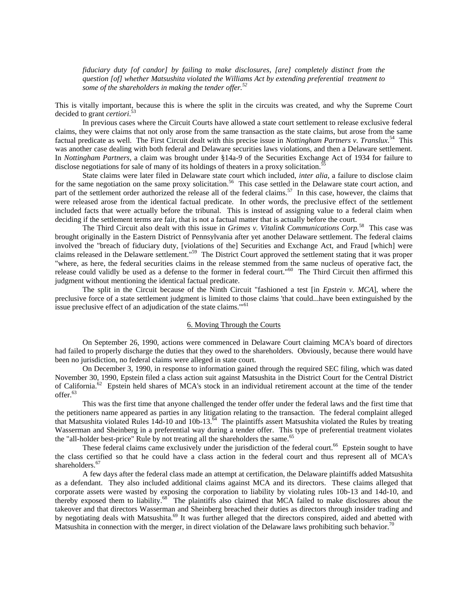*fiduciary duty [of candor] by failing to make disclosures, [are] completely distinct from the question [of] whether Matsushita violated the Williams Act by extending preferential treatment to some of the shareholders in making the tender offer.<sup>52</sup>*

This is vitally important, because this is where the split in the circuits was created, and why the Supreme Court decided to grant *certiori*. 53

In previous cases where the Circuit Courts have allowed a state court settlement to release exclusive federal claims, they were claims that not only arose from the same transaction as the state claims, but arose from the same factual predicate as well. The First Circuit dealt with this precise issue in *Nottingham Partners v. Translux*.<sup>54</sup> This was another case dealing with both federal and Delaware securities laws violations, and then a Delaware settlement. In *Nottingham Partners*, a claim was brought under §14a-9 of the Securities Exchange Act of 1934 for failure to disclose negotiations for sale of many of its holdings of theaters in a proxy solicitation.<sup>5</sup>

State claims were later filed in Delaware state court which included, *inter alia*, a failure to disclose claim for the same negotiation on the same proxy solicitation.<sup>56</sup> This case settled in the Delaware state court action, and part of the settlement order authorized the release all of the federal claims.<sup>57</sup> In this case, however, the claims that were released arose from the identical factual predicate. In other words, the preclusive effect of the settlement included facts that were actually before the tribunal. This is instead of assigning value to a federal claim when deciding if the settlement terms are fair, that is not a factual matter that is actually before the court.

The Third Circuit also dealt with this issue in *Grimes v. Vitalink Communications Corp.*<sup>58</sup> This case was brought originally in the Eastern District of Pennsylvania after yet another Delaware settlement. The federal claims involved the "breach of fiduciary duty, [violations of the] Securities and Exchange Act, and Fraud [which] were claims released in the Delaware settlement."<sup>59</sup> The District Court approved the settlement stating that it was proper "where, as here, the federal securities claims in the release stemmed from the same nucleus of operative fact, the release could validly be used as a defense to the former in federal court."<sup>60</sup> The Third Circuit then affirmed this judgment without mentioning the identical factual predicate.

The split in the Circuit because of the Ninth Circuit "fashioned a test [in *Epstein v. MCA*], where the preclusive force of a state settlement judgment is limited to those claims 'that could...have been extinguished by the issue preclusive effect of an adjudication of the state claims."<sup>61</sup>

## 6. Moving Through the Courts

On September 26, 1990, actions were commenced in Delaware Court claiming MCA's board of directors had failed to properly discharge the duties that they owed to the shareholders. Obviously, because there would have been no jurisdiction, no federal claims were alleged in state court.

On December 3, 1990, in response to information gained through the required SEC filing, which was dated November 30, 1990, Epstein filed a class action suit against Matsushita in the District Court for the Central District of California.<sup>62</sup> Epstein held shares of MCA's stock in an individual retirement account at the time of the tender offer.<sup>63</sup>

This was the first time that anyone challenged the tender offer under the federal laws and the first time that the petitioners name appeared as parties in any litigation relating to the transaction. The federal complaint alleged that Matsushita violated Rules 14d-10 and 10b-13. $^{64}$  The plaintiffs assert Matsushita violated the Rules by treating Wasserman and Sheinberg in a preferential way during a tender offer. This type of preferential treatment violates the "all-holder best-price" Rule by not treating all the shareholders the same.<sup>65</sup>

These federal claims came exclusively under the jurisdiction of the federal court.<sup>66</sup> Epstein sought to have the class certified so that he could have a class action in the federal court and thus represent all of MCA's shareholders.<sup>67</sup>

A few days after the federal class made an attempt at certification, the Delaware plaintiffs added Matsushita as a defendant. They also included additional claims against MCA and its directors. These claims alleged that corporate assets were wasted by exposing the corporation to liability by violating rules 10b-13 and 14d-10, and thereby exposed them to liability.<sup>68</sup> The plaintiffs also claimed that MCA failed to make disclosures about the takeover and that directors Wasserman and Sheinberg breached their duties as directors through insider trading and by negotiating deals with Matsushita.<sup>69</sup> It was further alleged that the directors conspired, aided and abetted with Matsushita in connection with the merger, in direct violation of the Delaware laws prohibiting such behavior.<sup>70</sup>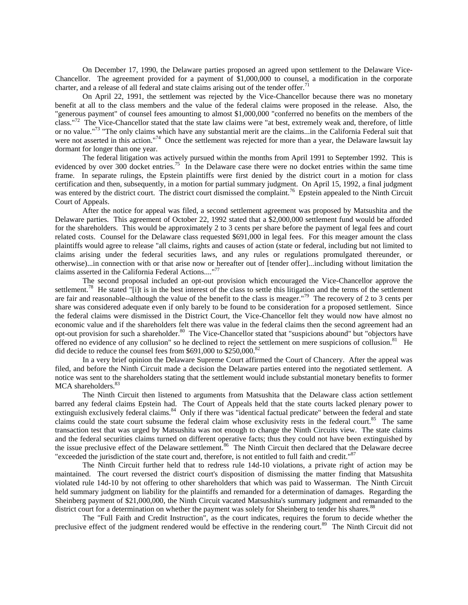On December 17, 1990, the Delaware parties proposed an agreed upon settlement to the Delaware Vice-Chancellor. The agreement provided for a payment of \$1,000,000 to counsel, a modification in the corporate charter, and a release of all federal and state claims arising out of the tender offer.<sup>71</sup>

On April 22, 1991, the settlement was rejected by the Vice-Chancellor because there was no monetary benefit at all to the class members and the value of the federal claims were proposed in the release. Also, the "generous payment" of counsel fees amounting to almost \$1,000,000 "conferred no benefits on the members of the class."<sup>72</sup> The Vice-Chancellor stated that the state law claims were "at best, extremely weak and, therefore, of little or no value."<sup>73</sup> "The only claims which have any substantial merit are the claims...in the California Federal suit that were not asserted in this action."<sup>74</sup> Once the settlement was rejected for more than a year, the Delaware lawsuit lay dormant for longer than one year.

The federal litigation was actively pursued within the months from April 1991 to September 1992. This is evidenced by over 300 docket entries.<sup>75</sup> In the Delaware case there were no docket entries within the same time frame. In separate rulings, the Epstein plaintiffs were first denied by the district court in a motion for class certification and then, subsequently, in a motion for partial summary judgment. On April 15, 1992, a final judgment was entered by the district court. The district court dismissed the complaint.<sup>76</sup> Epstein appealed to the Ninth Circuit Court of Appeals.

After the notice for appeal was filed, a second settlement agreement was proposed by Matsushita and the Delaware parties. This agreement of October 22, 1992 stated that a \$2,000,000 settlement fund would be afforded for the shareholders. This would be approximately 2 to 3 cents per share before the payment of legal fees and court related costs. Counsel for the Delaware class requested \$691,000 in legal fees. For this meager amount the class plaintiffs would agree to release "all claims, rights and causes of action (state or federal, including but not limited to claims arising under the federal securities laws, and any rules or regulations promulgated thereunder, or otherwise)...in connection with or that arise now or hereafter out of [tender offer]...including without limitation the claims asserted in the California Federal Actions...."<sup>77</sup>

The second proposal included an opt-out provision which encouraged the Vice-Chancellor approve the settlement.<sup>78</sup> He stated "[i]t is in the best interest of the class to settle this litigation and the terms of the settlement are fair and reasonable--although the value of the benefit to the class is meager."<sup>79</sup> The recovery of 2 to 3 cents per share was considered adequate even if only barely to be found to be consideration for a proposed settlement. Since the federal claims were dismissed in the District Court, the Vice-Chancellor felt they would now have almost no economic value and if the shareholders felt there was value in the federal claims then the second agreement had an opt-out provision for such a shareholder.<sup>80</sup> The Vice-Chancellor stated that "suspicions abound" but "objectors have offered no evidence of any collusion" so he declined to reject the settlement on mere suspicions of collusion.<sup>81</sup> He did decide to reduce the counsel fees from \$691,000 to \$250,000.<sup>82</sup>

In a very brief opinion the Delaware Supreme Court affirmed the Court of Chancery. After the appeal was filed, and before the Ninth Circuit made a decision the Delaware parties entered into the negotiated settlement. A notice was sent to the shareholders stating that the settlement would include substantial monetary benefits to former MCA shareholders.<sup>83</sup>

The Ninth Circuit then listened to arguments from Matsushita that the Delaware class action settlement barred any federal claims Epstein had. The Court of Appeals held that the state courts lacked plenary power to extinguish exclusively federal claims.<sup>84</sup> Only if there was "identical factual predicate" between the federal and state claims could the state court subsume the federal claim whose exclusivity rests in the federal court.<sup>85</sup> The same transaction test that was urged by Matsushita was not enough to change the Ninth Circuits view. The state claims and the federal securities claims turned on different operative facts; thus they could not have been extinguished by the issue preclusive effect of the Delaware settlement.<sup>86</sup> The Ninth Circuit then declared that the Delaware decree "exceeded the jurisdiction of the state court and, therefore, is not entitled to full faith and credit."<sup>87</sup>

The Ninth Circuit further held that to redress rule 14d-10 violations, a private right of action may be maintained. The court reversed the district court's disposition of dismissing the matter finding that Matsushita violated rule 14d-10 by not offering to other shareholders that which was paid to Wasserman. The Ninth Circuit held summary judgment on liability for the plaintiffs and remanded for a determination of damages. Regarding the Sheinberg payment of \$21,000,000, the Ninth Circuit vacated Matsushita's summary judgment and remanded to the district court for a determination on whether the payment was solely for Sheinberg to tender his shares.<sup>88</sup>

The "Full Faith and Credit Instruction", as the court indicates, requires the forum to decide whether the preclusive effect of the judgment rendered would be effective in the rendering court.<sup>89</sup> The Ninth Circuit did not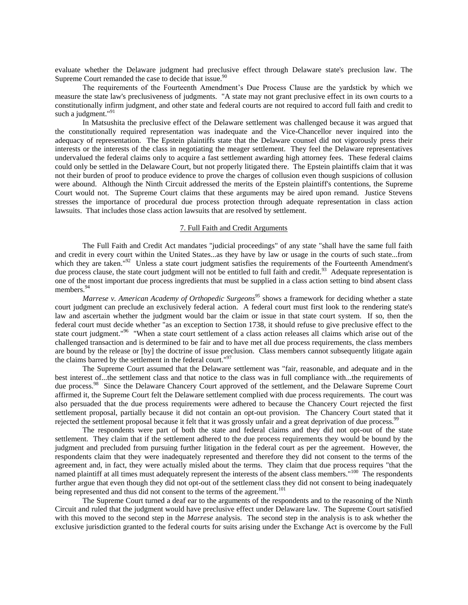evaluate whether the Delaware judgment had preclusive effect through Delaware state's preclusion law. The Supreme Court remanded the case to decide that issue.<sup>90</sup>

The requirements of the Fourteenth Amendment"s Due Process Clause are the yardstick by which we measure the state law's preclusiveness of judgments. "A state may not grant preclusive effect in its own courts to a constitutionally infirm judgment, and other state and federal courts are not required to accord full faith and credit to such a judgment."<sup>91</sup>

In Matsushita the preclusive effect of the Delaware settlement was challenged because it was argued that the constitutionally required representation was inadequate and the Vice-Chancellor never inquired into the adequacy of representation. The Epstein plaintiffs state that the Delaware counsel did not vigorously press their interests or the interests of the class in negotiating the meager settlement. They feel the Delaware representatives undervalued the federal claims only to acquire a fast settlement awarding high attorney fees. These federal claims could only be settled in the Delaware Court, but not properly litigated there. The Epstein plaintiffs claim that it was not their burden of proof to produce evidence to prove the charges of collusion even though suspicions of collusion were abound. Although the Ninth Circuit addressed the merits of the Epstein plaintiff's contentions, the Supreme Court would not. The Supreme Court claims that these arguments may be aired upon remand. Justice Stevens stresses the importance of procedural due process protection through adequate representation in class action lawsuits. That includes those class action lawsuits that are resolved by settlement.

## 7. Full Faith and Credit Arguments

The Full Faith and Credit Act mandates "judicial proceedings" of any state "shall have the same full faith and credit in every court within the United States...as they have by law or usage in the courts of such state...from which they are taken."<sup>92</sup> Unless a state court judgment satisfies the requirements of the Fourteenth Amendment's due process clause, the state court judgment will not be entitled to full faith and credit.<sup>93</sup> Adequate representation is one of the most important due process ingredients that must be supplied in a class action setting to bind absent class members.<sup>94</sup>

*Marrese v. American Academy of Orthopedic Surgeons<sup>95</sup>* shows a framework for deciding whether a state court judgment can preclude an exclusively federal action. A federal court must first look to the rendering state's law and ascertain whether the judgment would bar the claim or issue in that state court system. If so, then the federal court must decide whether "as an exception to Section 1738, it should refuse to give preclusive effect to the state court judgment."<sup>96</sup> "When a state court settlement of a class action releases all claims which arise out of the challenged transaction and is determined to be fair and to have met all due process requirements, the class members are bound by the release or [by] the doctrine of issue preclusion. Class members cannot subsequently litigate again the claims barred by the settlement in the federal court."<sup>97</sup>

The Supreme Court assumed that the Delaware settlement was "fair, reasonable, and adequate and in the best interest of...the settlement class and that notice to the class was in full compliance with...the requirements of due process.<sup>98</sup> Since the Delaware Chancery Court approved of the settlement, and the Delaware Supreme Court affirmed it, the Supreme Court felt the Delaware settlement complied with due process requirements. The court was also persuaded that the due process requirements were adhered to because the Chancery Court rejected the first settlement proposal, partially because it did not contain an opt-out provision. The Chancery Court stated that it rejected the settlement proposal because it felt that it was grossly unfair and a great deprivation of due process.<sup>99</sup>

The respondents were part of both the state and federal claims and they did not opt-out of the state settlement. They claim that if the settlement adhered to the due process requirements they would be bound by the judgment and precluded from pursuing further litigation in the federal court as per the agreement. However, the respondents claim that they were inadequately represented and therefore they did not consent to the terms of the agreement and, in fact, they were actually misled about the terms. They claim that due process requires "that the named plaintiff at all times must adequately represent the interests of the absent class members."<sup>100</sup> The respondents further argue that even though they did not opt-out of the settlement class they did not consent to being inadequately being represented and thus did not consent to the terms of the agreement.<sup>101</sup>

The Supreme Court turned a deaf ear to the arguments of the respondents and to the reasoning of the Ninth Circuit and ruled that the judgment would have preclusive effect under Delaware law. The Supreme Court satisfied with this moved to the second step in the *Marrese* analysis. The second step in the analysis is to ask whether the exclusive jurisdiction granted to the federal courts for suits arising under the Exchange Act is overcome by the Full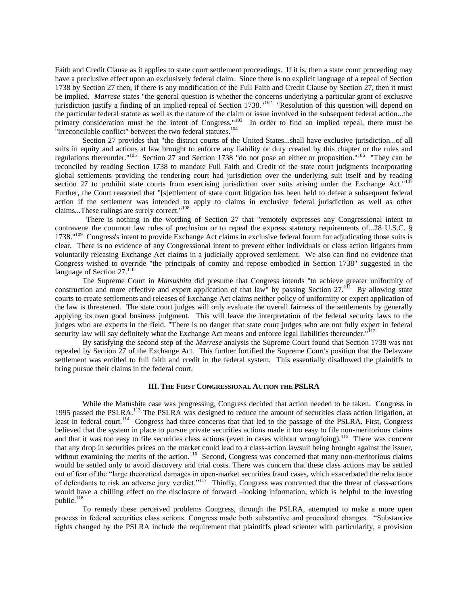Faith and Credit Clause as it applies to state court settlement proceedings. If it is, then a state court proceeding may have a preclusive effect upon an exclusively federal claim. Since there is no explicit language of a repeal of Section 1738 by Section 27 then, if there is any modification of the Full Faith and Credit Clause by Section 27, then it must be implied. *Marrese* states "the general question is whether the concerns underlying a particular grant of exclusive jurisdiction justify a finding of an implied repeal of Section 1738."<sup>102</sup> "Resolution of this question will depend on the particular federal statute as well as the nature of the claim or issue involved in the subsequent federal action...the primary consideration must be the intent of Congress."<sup>103</sup> In order to find an implied repeal, there must be "irreconcilable conflict" between the two federal statutes.<sup>104</sup>

Section 27 provides that "the district courts of the United States...shall have exclusive jurisdiction...of all suits in equity and actions at law brought to enforce any liability or duty created by this chapter or the rules and regulations thereunder."<sup>105</sup> Section 27 and Section 1738 "do not pose an either or proposition."<sup>106</sup> "They can be reconciled by reading Section 1738 to mandate Full Faith and Credit of the state court judgments incorporating global settlements providing the rendering court had jurisdiction over the underlying suit itself and by reading section 27 to prohibit state courts from exercising jurisdiction over suits arising under the Exchange Act." $107$ Further, the Court reasoned that "[s]ettlement of state court litigation has been held to defeat a subsequent federal action if the settlement was intended to apply to claims in exclusive federal jurisdiction as well as other claims...These rulings are surely correct."<sup>108</sup>

 There is nothing in the wording of Section 27 that "remotely expresses any Congressional intent to contravene the common law rules of preclusion or to repeal the express statutory requirements of...28 U.S.C. § 1738."<sup>109</sup> Congress's intent to provide Exchange Act claims in exclusive federal forum for adjudicating those suits is clear. There is no evidence of any Congressional intent to prevent either individuals or class action litigants from voluntarily releasing Exchange Act claims in a judicially approved settlement. We also can find no evidence that Congress wished to override "the principals of comity and repose embodied in Section 1738" suggested in the language of Section 27.<sup>110</sup>

The Supreme Court in *Matsushita* did presume that Congress intends "to achieve greater uniformity of construction and more effective and expert application of that law" by passing Section  $27$ .<sup>111</sup> By allowing state courts to create settlements and releases of Exchange Act claims neither policy of uniformity or expert application of the law is threatened. The state court judges will only evaluate the overall fairness of the settlements by generally applying its own good business judgment. This will leave the interpretation of the federal security laws to the judges who are experts in the field. "There is no danger that state court judges who are not fully expert in federal security law will say definitely what the Exchange Act means and enforce legal liabilities thereunder."<sup>112</sup>

By satisfying the second step of the *Marrese* analysis the Supreme Court found that Section 1738 was not repealed by Section 27 of the Exchange Act. This further fortified the Supreme Court's position that the Delaware settlement was entitled to full faith and credit in the federal system. This essentially disallowed the plaintiffs to bring pursue their claims in the federal court.

# **III. THE FIRST CONGRESSIONAL ACTION THE PSLRA**

While the Matushita case was progressing, Congress decided that action needed to be taken. Congress in 1995 passed the PSLRA.<sup>113</sup> The PSLRA was designed to reduce the amount of securities class action litigation, at least in federal court.<sup>114</sup> Congress had three concerns that that led to the passage of the PSLRA. First, Congress believed that the system in place to pursue private securities actions made it too easy to file non-meritorious claims and that it was too easy to file securities class actions (even in cases without wrongdoing).<sup>115</sup> There was concern that any drop in securities prices on the market could lead to a class-action lawsuit being brought against the issuer, without examining the merits of the action.<sup>116</sup> Second, Congress was concerned that many non-meritorious claims would be settled only to avoid discovery and trial costs. There was concern that these class actions may be settled out of fear of the "large theoretical damages in open-market securities fraud cases, which exacerbated the reluctance of defendants to risk an adverse jury verdict." $11^7$  Thirdly, Congress was concerned that the threat of class-actions would have a chilling effect on the disclosure of forward –looking information, which is helpful to the investing public.<sup>118</sup>

To remedy these perceived problems Congress, through the PSLRA, attempted to make a more open process in federal securities class actions. Congress made both substantive and procedural changes. "Substantive rights changed by the PSLRA include the requirement that plaintiffs plead scienter with particularity, a provision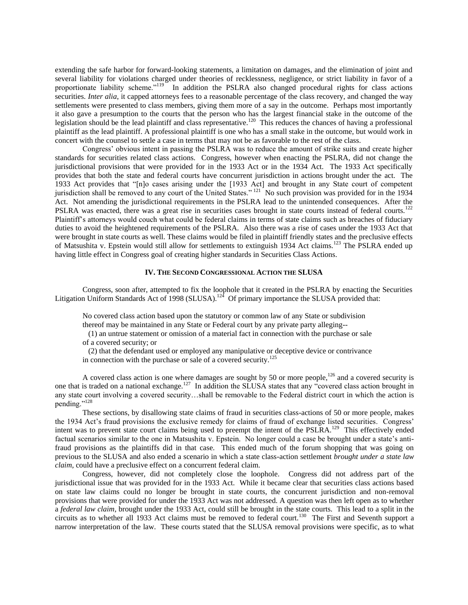extending the safe harbor for forward-looking statements, a limitation on damages, and the elimination of joint and several liability for violations charged under theories of recklessness, negligence, or strict liability in favor of a proportionate liability scheme."<sup>119</sup> In addition the PSLRA also changed procedural rights for class actions securities. *Inter alia*, it capped attorneys fees to a reasonable percentage of the class recovery, and changed the way settlements were presented to class members, giving them more of a say in the outcome. Perhaps most importantly it also gave a presumption to the courts that the person who has the largest financial stake in the outcome of the legislation should be the lead plaintiff and class representative.<sup>120</sup> This reduces the chances of having a professional plaintiff as the lead plaintiff. A professional plaintiff is one who has a small stake in the outcome, but would work in concert with the counsel to settle a case in terms that may not be as favorable to the rest of the class.

Congress" obvious intent in passing the PSLRA was to reduce the amount of strike suits and create higher standards for securities related class actions. Congress, however when enacting the PSLRA, did not change the jurisdictional provisions that were provided for in the 1933 Act or in the 1934 Act. The 1933 Act specifically provides that both the state and federal courts have concurrent jurisdiction in actions brought under the act. The 1933 Act provides that "[n]o cases arising under the [1933 Act] and brought in any State court of competent jurisdiction shall be removed to any court of the United States."<sup>121</sup> No such provision was provided for in the 1934 Act. Not amending the jurisdictional requirements in the PSLRA lead to the unintended consequences. After the PSLRA was enacted, there was a great rise in securities cases brought in state courts instead of federal courts.<sup>122</sup> Plaintiff"s attorneys would couch what could be federal claims in terms of state claims such as breaches of fiduciary duties to avoid the heightened requirements of the PSLRA. Also there was a rise of cases under the 1933 Act that were brought in state courts as well. These claims would be filed in plaintiff friendly states and the preclusive effects of Matsushita v. Epstein would still allow for settlements to extinguish 1934 Act claims.<sup>123</sup> The PSLRA ended up having little effect in Congress goal of creating higher standards in Securities Class Actions.

### **IV. THE SECOND CONGRESSIONAL ACTION THE SLUSA**

Congress, soon after, attempted to fix the loophole that it created in the PSLRA by enacting the Securities Litigation Uniform Standards Act of 1998 (SLUSA).<sup>124</sup> Of primary importance the SLUSA provided that:

No covered class action based upon the statutory or common law of any State or subdivision thereof may be maintained in any State or Federal court by any private party alleging--

 (1) an untrue statement or omission of a material fact in connection with the purchase or sale of a covered security; or

 (2) that the defendant used or employed any manipulative or deceptive device or contrivance in connection with the purchase or sale of a covered security.<sup>125</sup>

A covered class action is one where damages are sought by 50 or more people,  $^{126}$  and a covered security is one that is traded on a national exchange.<sup>127</sup> In addition the SLUSA states that any "covered class action brought in any state court involving a covered security…shall be removable to the Federal district court in which the action is pending."<sup>128</sup>

These sections, by disallowing state claims of fraud in securities class-actions of 50 or more people, makes the 1934 Act's fraud provisions the exclusive remedy for claims of fraud of exchange listed securities. Congress' intent was to prevent state court claims being used to preempt the intent of the PSLRA.<sup>129</sup> This effectively ended factual scenarios similar to the one in Matsushita v. Epstein. No longer could a case be brought under a state's antifraud provisions as the plaintiffs did in that case. This ended much of the forum shopping that was going on previous to the SLUSA and also ended a scenario in which a state class-action settlement *brought under a state law claim*, could have a preclusive effect on a concurrent federal claim.

Congress, however, did not completely close the loophole. Congress did not address part of the jurisdictional issue that was provided for in the 1933 Act. While it became clear that securities class actions based on state law claims could no longer be brought in state courts, the concurrent jurisdiction and non-removal provisions that were provided for under the 1933 Act was not addressed. A question was then left open as to whether a *federal law claim*, brought under the 1933 Act, could still be brought in the state courts. This lead to a split in the circuits as to whether all 1933 Act claims must be removed to federal court.<sup>130</sup> The First and Seventh support a narrow interpretation of the law. These courts stated that the SLUSA removal provisions were specific, as to what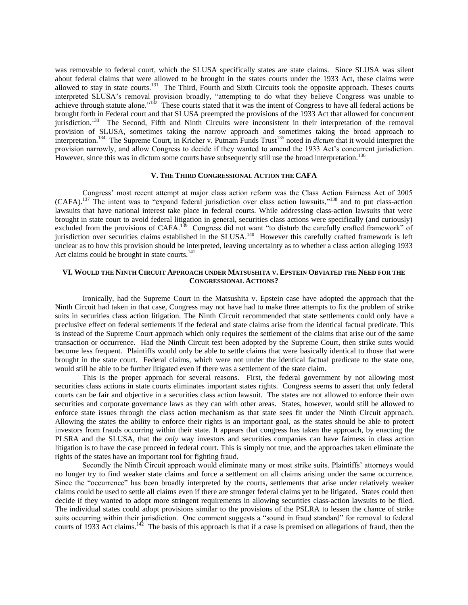was removable to federal court, which the SLUSA specifically states are state claims. Since SLUSA was silent about federal claims that were allowed to be brought in the states courts under the 1933 Act, these claims were allowed to stay in state courts.<sup>131</sup> The Third, Fourth and Sixth Circuits took the opposite approach. Theses courts interpreted SLUSA"s removal provision broadly, "attempting to do what they believe Congress was unable to achieve through statute alone."<sup>132</sup> These courts stated that it was the intent of Congress to have all federal actions be brought forth in Federal court and that SLUSA preempted the provisions of the 1933 Act that allowed for concurrent jurisdiction.<sup>133</sup> The Second, Fifth and Ninth Circuits were inconsistent in their interpretation of the removal provision of SLUSA, sometimes taking the narrow approach and sometimes taking the broad approach to interpretation.<sup>134</sup> The Supreme Court, in Kricher v. Putnam Funds Trust<sup>135</sup> noted in *dictum* that it would interpret the provision narrowly, and allow Congress to decide if they wanted to amend the 1933 Act"s concurrent jurisdiction. However, since this was in dictum some courts have subsequently still use the broad interpretation.<sup>136</sup>

# **V. THE THIRD CONGRESSIONAL ACTION THE CAFA**

Congress" most recent attempt at major class action reform was the Class Action Fairness Act of 2005 (CAFA).<sup>137</sup> The intent was to "expand federal jurisdiction over class action lawsuits,"<sup>138</sup> and to put class-action lawsuits that have national interest take place in federal courts. While addressing class-action lawsuits that were brought in state court to avoid federal litigation in general, securities class actions were specifically (and curiously) excluded from the provisions of CAFA.<sup>139</sup> Congress did not want "to disturb the carefully crafted framework" of jurisdiction over securities claims established in the SLUSA.<sup>140</sup> However this carefully crafted framework is left unclear as to how this provision should be interpreted, leaving uncertainty as to whether a class action alleging 1933 Act claims could be brought in state courts.<sup>141</sup>

## **VI. WOULD THE NINTH CIRCUIT APPROACH UNDER MATSUSHITA V. EPSTEIN OBVIATED THE NEED FOR THE CONGRESSIONAL ACTIONS?**

Ironically, had the Supreme Court in the Matsushita v. Epstein case have adopted the approach that the Ninth Circuit had taken in that case, Congress may not have had to make three attempts to fix the problem of strike suits in securities class action litigation. The Ninth Circuit recommended that state settlements could only have a preclusive effect on federal settlements if the federal and state claims arise from the identical factual predicate. This is instead of the Supreme Court approach which only requires the settlement of the claims that arise out of the same transaction or occurrence. Had the Ninth Circuit test been adopted by the Supreme Court, then strike suits would become less frequent. Plaintiffs would only be able to settle claims that were basically identical to those that were brought in the state court. Federal claims, which were not under the identical factual predicate to the state one, would still be able to be further litigated even if there was a settlement of the state claim.

This is the proper approach for several reasons. First, the federal government by not allowing most securities class actions in state courts eliminates important states rights. Congress seems to assert that only federal courts can be fair and objective in a securities class action lawsuit. The states are not allowed to enforce their own securities and corporate governance laws as they can with other areas. States, however, would still be allowed to enforce state issues through the class action mechanism as that state sees fit under the Ninth Circuit approach. Allowing the states the ability to enforce their rights is an important goal, as the states should be able to protect investors from frauds occurring within their state. It appears that congress has taken the approach, by enacting the PLSRA and the SLUSA, that the *only* way investors and securities companies can have fairness in class action litigation is to have the case proceed in federal court. This is simply not true, and the approaches taken eliminate the rights of the states have an important tool for fighting fraud.

Secondly the Ninth Circuit approach would eliminate many or most strike suits. Plaintiffs" attorneys would no longer try to find weaker state claims and force a settlement on all claims arising under the same occurrence. Since the "occurrence" has been broadly interpreted by the courts, settlements that arise under relatively weaker claims could be used to settle all claims even if there are stronger federal claims yet to be litigated. States could then decide if they wanted to adopt more stringent requirements in allowing securities class-action lawsuits to be filed. The individual states could adopt provisions similar to the provisions of the PSLRA to lessen the chance of strike suits occurring within their jurisdiction. One comment suggests a "sound in fraud standard" for removal to federal courts of 1933 Act claims.<sup>142</sup> The basis of this approach is that if a case is premised on allegations of fraud, then the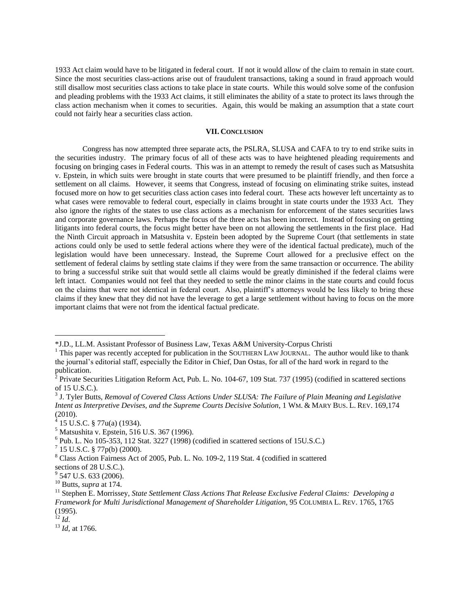1933 Act claim would have to be litigated in federal court. If not it would allow of the claim to remain in state court. Since the most securities class-actions arise out of fraudulent transactions, taking a sound in fraud approach would still disallow most securities class actions to take place in state courts. While this would solve some of the confusion and pleading problems with the 1933 Act claims, it still eliminates the ability of a state to protect its laws through the class action mechanism when it comes to securities. Again, this would be making an assumption that a state court could not fairly hear a securities class action.

# **VII. CONCLUSION**

Congress has now attempted three separate acts, the PSLRA, SLUSA and CAFA to try to end strike suits in the securities industry. The primary focus of all of these acts was to have heightened pleading requirements and focusing on bringing cases in Federal courts. This was in an attempt to remedy the result of cases such as Matsushita v. Epstein, in which suits were brought in state courts that were presumed to be plaintiff friendly, and then force a settlement on all claims. However, it seems that Congress, instead of focusing on eliminating strike suites, instead focused more on how to get securities class action cases into federal court. These acts however left uncertainty as to what cases were removable to federal court, especially in claims brought in state courts under the 1933 Act. They also ignore the rights of the states to use class actions as a mechanism for enforcement of the states securities laws and corporate governance laws. Perhaps the focus of the three acts has been incorrect. Instead of focusing on getting litigants into federal courts, the focus might better have been on not allowing the settlements in the first place. Had the Ninth Circuit approach in Matsushita v. Epstein been adopted by the Supreme Court (that settlements in state actions could only be used to settle federal actions where they were of the identical factual predicate), much of the legislation would have been unnecessary. Instead, the Supreme Court allowed for a preclusive effect on the settlement of federal claims by settling state claims if they were from the same transaction or occurrence. The ability to bring a successful strike suit that would settle all claims would be greatly diminished if the federal claims were left intact. Companies would not feel that they needed to settle the minor claims in the state courts and could focus on the claims that were not identical in federal court. Also, plaintiff"s attorneys would be less likely to bring these claims if they knew that they did not have the leverage to get a large settlement without having to focus on the more important claims that were not from the identical factual predicate.

 $^{12}$  *Id.* 

 $\overline{a}$ 

<sup>13</sup> *Id,* at 1766.

<sup>\*</sup>J.D., LL.M. Assistant Professor of Business Law, Texas A&M University-Corpus Christi

<sup>&</sup>lt;sup>1</sup> This paper was recently accepted for publication in the SOUTHERN LAW JOURNAL. The author would like to thank the journal"s editorial staff, especially the Editor in Chief, Dan Ostas, for all of the hard work in regard to the publication.

 $2$  Private Securities Litigation Reform Act, Pub. L. No. 104-67, [109 Stat. 737 \(1995\)](http://www.lexisnexis.com/lnacui2api/mungo/lexseestat.do?bct=A&risb=21_T11074065071&homeCsi=7353&A=0.443418386339382&urlEnc=ISO-8859-1&&citeString=109%20Stat.%20737&countryCode=USA) (codified in scattered sections of 15 U.S.C.).

<sup>3</sup> J. Tyler Butts, *Removal of Covered Class Actions Under SLUSA: The Failure of Plain Meaning and Legislative Intent as Interpretive Devises, and the Supreme Courts Decisive Solution*, 1 WM. & MARY BUS. L. REV. 169,174 (2010).<br><sup>4</sup> 15 U.S.C. § 77u(a) (1934).

<sup>5</sup> Matsushita v. Epstein, 516 U.S. 367 (1996).

 $6$  Pub. L. No 105-353, 112 Stat. 3227 (1998) (codified in scattered sections of 15U.S.C.)

 $7$  15 U.S.C. § 77p(b) (2000).

<sup>8</sup> Class Action Fairness Act of 2005, Pub. L. No. 109-2, 119 Stat. 4 (codified in scattered

sections of 28 U.S.C.).

<sup>&</sup>lt;sup>9</sup> 547 U.S. 633 (2006).

<sup>10</sup> Butts, *supra* at 174.

<sup>&</sup>lt;sup>11</sup> Stephen E. Morrissey, *State Settlement Class Actions That Release Exclusive Federal Claims: Developing a Framework for Multi Jurisdictional Management of Shareholder Litigation*, 95 COLUMBIA L. REV. 1765, 1765 (1995).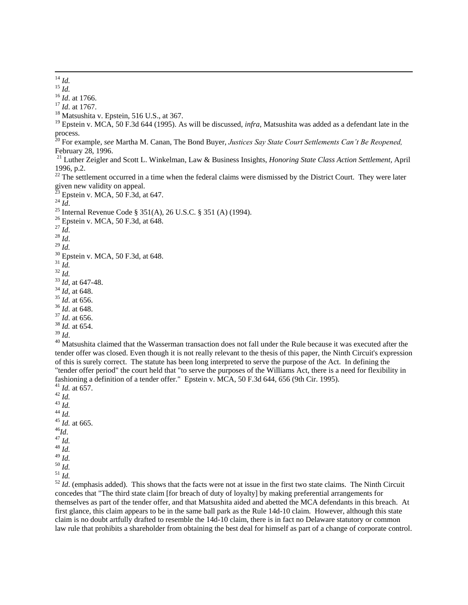*Id.*

*Id*. at 1766.

*Id*. at 1767.

<sup>18</sup> Matsushita v. Epstein, 516 U.S., at 367.

 Epstein v. MCA, 50 F.3d 644 (1995). As will be discussed, *infra,* Matsushita was added as a defendant late in the process.

 For example, *see* Martha M. Canan, The Bond Buyer, *Justices Say State Court Settlements Can't Be Reopened,*  February 28, 1996.

 Luther Zeigler and Scott L. Winkelman, Law & Business Insights, *Honoring State Class Action Settlement,* April 1996, p.2.

 The settlement occurred in a time when the federal claims were dismissed by the District Court. They were later given new validity on appeal.

Epstein v. MCA, F.3d, at 647.

*Id*.

<sup>25</sup> Internal Revenue Code § 351(A), 26 U.S.C. § 351 (A) (1994).

- <sup>26</sup> Epstein v. MCA, 50 F.3d, at 648.
- *Id*.
- *Id*.
- *Id.*
- Epstein v. MCA, 50 F.3d, at 648.
- *Id.*
- *Id.*

- *Id*, at 648.
- *Id*. at 656.
- *Id*. at 648.
- *Id*. at 656.
- *Id.* at 654.
- *Id*.

<sup>40</sup> Matsushita claimed that the Wasserman transaction does not fall under the Rule because it was executed after the tender offer was closed. Even though it is not really relevant to the thesis of this paper, the Ninth Circuit's expression of this is surely correct. The statute has been long interpreted to serve the purpose of the Act. In defining the "tender offer period" the court held that "to serve the purposes of the Williams Act, there is a need for flexibility in fashioning a definition of a tender offer." Epstein v. MCA, 50 F.3d 644, 656 (9th Cir. 1995).

- *Id.* at 657. *Id. Id. Id. Id.* at 665. *Id*.  $47 \frac{\ldots}{10}$ . *Id.*
- 
- *Id.*
- *Id. Id.*

 *Id.* (emphasis added). This shows that the facts were not at issue in the first two state claims. The Ninth Circuit concedes that "The third state claim [for breach of duty of loyalty] by making preferential arrangements for themselves as part of the tender offer, and that Matsushita aided and abetted the MCA defendants in this breach. At first glance, this claim appears to be in the same ball park as the Rule 14d-10 claim. However, although this state claim is no doubt artfully drafted to resemble the 14d-10 claim, there is in fact no Delaware statutory or common law rule that prohibits a shareholder from obtaining the best deal for himself as part of a change of corporate control.

 $\overline{a}$ *Id.*

*Id*, at 647-48.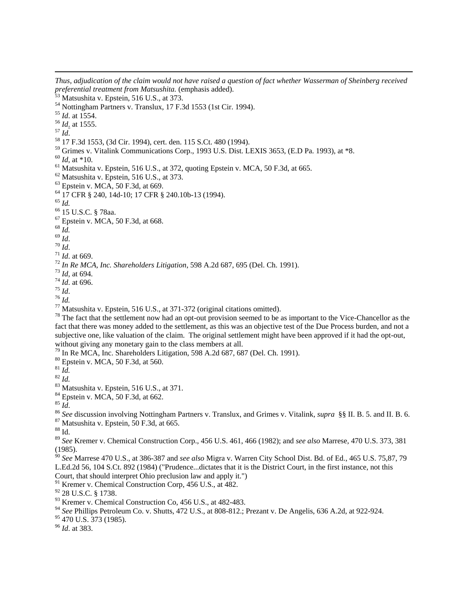*preferential treatment from Matsushita.* (emphasis added). 53 Matsushita v. Epstein, 516 U.S., at 373.  $<sup>54</sup>$  Nottingham Partners v. Translux, 17 F.3d 1553 (1st Cir. 1994).</sup> *Id*. at 1554. *Id*. at 1555.  $^{57}$  *Id.*  17 F.3d 1553, (3d Cir. 1994), cert. den. 115 S.Ct. 480 (1994). Grimes v. Vitalink Communications Corp., 1993 U.S. Dist. LEXIS 3653, (E.D Pa. 1993), at \*8. *Id*, at \*10.  $<sup>61</sup>$  Matsushita v. Epstein, 516 U.S., at 372, quoting Epstein v. MCA, 50 F.3d, at 665.</sup> Matsushita v. Epstein, 516 U.S., at 373. Epstein v. MCA, 50 F.3d, at 669. 17 CFR § 240, 14d-10; 17 CFR § 240.10b-13 (1994). *Id.* 15 U.S.C. § 78aa. Epstein v. MCA, 50 F.3d, at 668. *Id. Id*. *Id*. *Id*. at 669. *In Re MCA, Inc. Shareholders Litigation*, 598 A.2d 687, 695 (Del. Ch. 1991). *Id,* at 694. *Id*. at 696. *Id*. *Id.* Matsushita v. Epstein, 516 U.S., at 371-372 (original citations omitted). The fact that the settlement now had an opt-out provision seemed to be as important to the Vice-Chancellor as the

*Thus, adjudication of the claim would not have raised a question of fact whether Wasserman of Sheinberg received* 

fact that there was money added to the settlement, as this was an objective test of the Due Process burden, and not a subjective one, like valuation of the claim. The original settlement might have been approved if it had the opt-out, without giving any monetary gain to the class members at all.

In Re MCA, Inc. Shareholders Litigation, 598 A.2d 687, 687 (Del. Ch. 1991).

Epstein v. MCA, 50 F.3d, at 560.

*Id.*

 $\overline{a}$ 

 $82 \overline{Id}$ .

Matsushita v. Epstein, 516 U.S., at 371.

Epstein v. MCA, 50 F.3d, at 662.

*Id*.

*See* discussion involving Nottingham Partners v. Translux, and Grimes v. Vitalink*, supra* §§ II. B. 5. and II. B. 6.

Matsushita v. Epstein, 50 F.3d, at 665.

Id.

 *See* Kremer v. Chemical Construction Corp., 456 U.S. 461, 466 (1982); and *see also* Marrese, 470 U.S. 373, 381 (1985).

 *See* Marrese 470 U.S., at 386-387 and *see also* Migra v. Warren City School Dist. Bd. of Ed., 465 U.S. 75,87, 79 L.Ed.2d 56, 104 S.Ct. 892 (1984) ("Prudence...dictates that it is the District Court, in the first instance, not this Court, that should interpret Ohio preclusion law and apply it.")

<sup>91</sup> Kremer v. Chemical Construction Corp, 456 U.S., at 482.

28 U.S.C. § 1738.

 $^{93}$  Kremer v. Chemical Construction Co, 456 U.S., at 482-483.

*See* Phillips Petroleum Co. v. Shutts, 472 U.S., at 808-812.; Prezant v. De Angelis, 636 A.2d, at 922-924.

470 U.S.  $373$  (1985).

*Id*. at 383.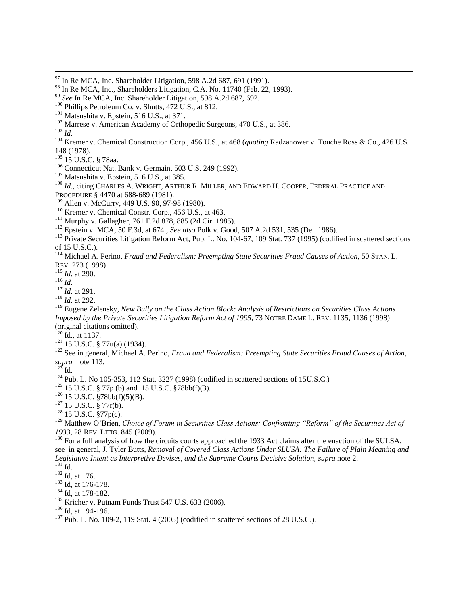- <sup>102</sup> Marrese v. American Academy of Orthopedic Surgeons, 470 U.S., at 386.
- *Id*.

 $\overline{a}$ 

- Kremer v. Chemical Construction Corp., 456 U.S., at 468 (*quoting* Radzanower v. Touche Ross & Co., 426 U.S. 148 (1978).
- 15 U.S.C. § 78aa.
- Connecticut Nat. Bank v. Germain, 503 U.S. 249 (1992).
- Matsushita v. Epstein, 516 U.S., at 385.
- *Id.*, citing CHARLES A. WRIGHT, ARTHUR R. MILLER, AND EDWARD H. COOPER, FEDERAL PRACTICE AND
- PROCEDURE § 4470 at 688-689 (1981).
- Allen v. McCurry, 449 U.S. 90, 97-98 (1980).
- Kremer v. Chemical Constr. Corp., 456 U.S., at 463.
- Murphy v. Gallagher, 761 F.2d 878, 885 (2d Cir. 1985).
- Epstein v. MCA, 50 F.3d, at 674.; *See also* Polk v. Good, 507 A.2d 531, 535 (Del. 1986).
- <sup>113</sup> Private Securities Litigation Reform Act, Pub. L. No. 104-67, 109 [Stat. 737 \(1995\)](http://www.lexisnexis.com/lnacui2api/mungo/lexseestat.do?bct=A&risb=21_T11074065071&homeCsi=7353&A=0.443418386339382&urlEnc=ISO-8859-1&&citeString=109%20Stat.%20737&countryCode=USA) (codified in scattered sections of 15 U.S.C.).
- Michael A. Perino, *Fraud and Federalism: Preempting State Securities Fraud Causes of Action*, 50 STAN. L. REV. 273 (1998).
- *Id*. at 290.

*Id.*

- *Id.* at 291.
- *Id.* at 292.

 Eugene Zelensky, *New Bully on the Class Action Block: Analysis of Restrictions on Securities Class Actions Imposed by the Private Securities Litigation Reform Act of 1995*, 73 NOTRE DAME L. REV. 1135, 1136 (1998) (original citations omitted).

Id., at 1137.

15 U.S.C. § 77u(a) (1934).

 See in general, Michael A. Perino, *Fraud and Federalism: Preempting State Securities Fraud Causes of Action*, *supra* note 113.

 $^{123}$  Id.

Pub. L. No 105-353, 112 Stat. 3227 (1998) (codified in scattered sections of 15U.S.C.)

15 U.S.C. § 77p (b) and 15 U.S.C. §78bb(f)(3).

15 U.S.C. §78bb(f)(5)(B).

15 U.S.C. § 77r(b).

15 U.S.C. §77p(c).

 Matthew O"Brien, *Choice of Forum in Securities Class Actions: Confronting "Reform" of the Securities Act of*  , 28 REV. LITIG. 845 (2009).

<sup>130</sup> For a full analysis of how the circuits courts approached the 1933 Act claims after the enaction of the SULSA, see in general, J. Tyler Butts, *Removal of Covered Class Actions Under SLUSA: The Failure of Plain Meaning and Legislative Intent as Interpretive Devises, and the Supreme Courts Decisive Solution*, *supra* note 2.  $^{131}$  Id.

- <sup>132</sup> Id, at 176.
- <sup>133</sup> Id, at 176-178.
- <sup>134</sup> Id, at 178-182.
- Kricher v. Putnam Funds Trust 547 U.S. 633 (2006).

<sup>136</sup> Id, at 194-196.

Pub. L. No. 109-2, 119 Stat. 4 (2005) (codified in scattered sections of 28 U.S.C.).

In Re MCA, Inc. Shareholder Litigation, 598 A.2d 687, 691 (1991).

<sup>&</sup>lt;sup>98</sup> In Re MCA, Inc., Shareholders Litigation, C.A. No. 11740 (Feb. 22, 1993).

*See* In Re MCA, Inc. Shareholder Litigation, 598 A.2d 687, 692.

Phillips Petroleum Co. v. Shutts, 472 U.S., at 812.

Matsushita v. Epstein, 516 U.S., at 371.